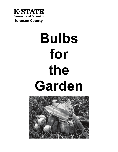

# **Johnson County**

# **Bulbs for the Garden**

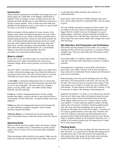#### **Introduction**

When someone mentions the word bulbs, what image does your mind conjure up, a light bulb, or the brightly colored tulip or daffodil? These are images we have of bulbs, but for the avid gardener the latter should come to mind. Bulbs have long been a favorite of many gardens. There is much more than tulips and daffodils for the gardener to grow, in fact, there is a type of bulb for almost every letter in the alphabet.

Bulbs are popular with the gardener for many reasons. Once planted, many bulbs will maintain themselves for years with a minimum amount of care. Many of the flowers planted such as annuals and perennials have relatively short bloom periods, but with a well-planned bulb garden the bloom period can extend from late winter right through the fall with many colors and plant forms. Another advantage of growing bulbs is the ease with which these plants adapt themselves to a varied habitat. Whatever the reason for growing bulbs, the main advantage is for enjoyment and their beauty.

#### **What is a Bulb?**

If you were to cut a true bulb in half, you would find a neatly packed next year's plant surrounded by the scale leaves immature foliage, flower stems, possibly even flower buds in some.

The term "bulb" is one that we loosely apply to any plant with a swollen or thickened storage organ from which the stalk grows up and roots grow down. The other structures that we associate with bulbs are corms, tubers, rhizomes and tuberous roots.

A **true bulb** is a shortened underground stem on a basal plate surrounded by fleshy leaves (scales) that protect and store food for use by the young plant. The outer scales dry, forming a papery covering called a tunic. True bulbs include allium, hyacinth, narcissus and tulip.

**Corms** are swollen, underground portions of stem, usually broader than higher, covered with one or more dead leaf bases. Food storage is in the solid tissue. Examples include crocus and gladiolus.

**Tubers** are short, fat underground stems for food storage that are either flattened, rounded or irregular. Tubers include anemone, begonia and dahlia.

**Tuberous Roots** are a thickened stem for food storage that grows horizontally along or under the surface of the soil, like an Iris.

#### **Selecting Bulbs**

Bulbs are sold in nurseries, garden centers and nursery catalogs. Buy from a reputable source. Cheap bulbs are usually of poor quality. Newer varieties will cost more than older established varieties.

When purchasing, bulbs should be of top quality. Make sure the bulbs are not diseased. Diseased bulbs look moldy, discolored,

or soft and rotted. Bulbs should be firm and have an unblemished skin.

Know types, colors and sizes of bulbs and places they grow best. Choose either domestic or imported bulbs. They are equally good.

The size of bulbs purchased is important for best results. Top size bulbs are the most expensive and generally produce the biggest flowers. Smaller sizes may be adequate for a good garden display. Experience with growing bulbs will help you select the proper size. Until that time, experiment. Purchase a dozen larger ones and a dozen smaller, then compare the results after flowering.

#### **Site Selection, Soil Preparation and Fertilization**

Most bulbs need full sunshine for best results. Try to select a planting site that will provide at least five or six hours of direct sunlight a day. There are some bulbs that will perform well in partial shade.

If you plant bulbs in a southern exposure near a building or wall, they will bloom earlier than bulbs you plant in a northern exposure.

Soil preparation is important, as many bulbs will remain in place many years. Bulbs will grow well in most soil types as long as the soil is well drained. Poorly drained soil will result in poor success with bulbs.

Before planting a new bed, test the drainage of the soil. Dig a hole about a foot deep and fill it with water. The next day, fill the hole with water and see how long the water remains. If the water drains away in eight to 10 hours, the soil is sufficiently well drained. If water remains in the hole after 10 hours, it will be necessary to improve the drainage of the planting site.

Spade the soil deeply, 8–12 inches. As you dig remove all trash from the soil. Since many bulbs will remain in place for many years, steps to improve the soil should be taken at this time. Work organic matter into the soil. Compost, manure or peat moss applied 3–4 inches deep and spaded in deeply will help improve the soil structure. Fertilizers should be applied at this time. Mix bone meal into the planting area at the rate of 5 pounds per 100 square feet of bed area or apply 1–2 pounds of a low analysis garden fertilizer to the same area. Nutrients will need to be replaced as the plant uses them during the active growing period to build up the bulbs for the next year's bloom. Apply a complete fertilizer to the bed before flowering. Use 1–2 pounds of low analysis fertilizer per 100 square feet or a handful for each clump of bulbs.

#### **Planting Bulbs**

For the most part, the sooner you plant after they become available, the better. As a general rule of thumb, plant spring flowering bulbs from early to late fall; summer flowering bulbs in early spring (mid to late spring for less hardy ones) and plant autumn flowering bulbs in late spring to late summer.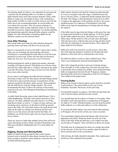The planting depth for bulbs is very important for good growth. A general rule for planting bulbs is to set them at a depth approximately three times their greatest diameter. Plant a little deeper in sandy soil, less deeply in heavy soils. If planting a large number of bulbs in a bed, it is often easier to excavate the entire area to the recommended depth, set out the bulbs and cover them all at one time. This way insures planting to a uniform depth, which is quite important when you are setting out bulbs in a precise, formal arrangement. For smaller planting and naturalizing especially designed bulbs, planters would be helpful. For more information on planting depths for the different varieties see the enclosed charts.

#### **Care After Planting**

Most hardy bulbs need relatively little attention during the growing season and many will thrive for several years.

Remove weed growth as soon as the bulb's shoots show clearly. Take care not to damage the shoots during cultivation. Fertilization is recommended for bulbs that are to be left in the ground for several years. Follow the rates that are discussed under *Site Selection, Soil Preparation and Fertilization.* 

During prolonged dry spells in spring and summer, thorough watering will improve growth. If the plants are in bloom, water from the base rather than above. Continue watering in dry spells even after flowering. The growing cycle does not end until the leaves turn yellow and die.

If you cannot avoid digging the bulbs that have finished flowering to make room for other plants, the bulb foliage should be allowed to ripen naturally because it manufactures all the nutrients needed for the plant's future growth. Some gardeners tidy the bulb bed by tying the foliage together. This is not recommended because it reduces the amount of leaf surface exposed to the sun, with subsequent diminishing of nourishment to the bulbs.

As bulbs finish flowering, remove their faded blooms. This is called deadheading. The bulbs will exhaust themselves if the seeds set. On tulips, daffodils and other narcissi, cut off the dead flower heads, as well as 1–2 inches of stem, and leave the remaining stems and leaves on the plant to build up nourishment in the bulbs. On a Hyacinth, remove the small flowers that make up the spike by running your hand up and down the cluster. Leave the stem to provide food for the bulbs. On Gladiolus, cut off the flower spike, but let at least four pairs of leaves remain.

There are, however, bulbs that multiply freely from self-sown seeds. Snowdrops, Scillas, Winter Aconites Chionodoxas and Muscarius should be deadheaded only if no more plants are wanted.

#### **Digging, Drying and Storing Bulbs**

Bulbs are lifted from the ground for three main reasons: because room is needed for other plants, because they are not hardy enough to spend the winter outdoors or because they are crowded and blooming poorly.

Bulbs ideally should be left until the foliage has died naturally. It is easy to recognize when this stage is reached because the leaves will turn yellow. A slight pull should separate them from the bulb. The foliage is often prematurely removed in an effort to improve the appearance of the gardens, but this is not recommended because of a reduction of nourishment to the bulb. Bulbs can be dug for transplanting or dividing after the foliage has ripened.

If the bulbs must be dug when the foliage is still green they may be temporarily trenched in to finish ripening. To do this, gently dig the bulbs without the leaves. Heel them into a trench 5–6 inches deep. Fill the trench in with soil and water thoroughly. After the leaves have withered, they may be dug and then stored until time for replanting in a desired location. Only replant the larger bulbs for best blooms.

Bulbs may need to be stored for several reasons. Those that have been dug and ripened or needed to be divided and transplanted, or those that will not withstand the cold winter.

Dry bulbs for about a week in a dark ventilated area. Then remove any clinging dirt, diseased and damaged bulbs.

Dust with a fungicide powder to prevent rot during storage. Place the bulbs in a flat or paper bag with some dry peat moss to keep bulbs from touching one another. Store spring blooming bulbs at temperatures between 60 and 70 degrees; summer blooming bulbs need lower temperatures from 45 to 60 degrees. Then replant at the proper times.

#### **Forcing Bulbs**

Bulbs can be forced to bloom indoors earlier than they normally would outdoors. The easiest bulbs to force are Crocus, Galanthus, Hyacinth, Narcisssus, Scilla and Tulip.

Forcing bulbs includes two phases. The bulbs develop buds and roots in the first phase and bloom in the second.

You should begin the first phase in October or November. Plant the bulbs in pots and keep them at a temperature of 40 degrees for eight to 12 weeks. During the phase, you can keep the potted bulbs outdoors, in a cold room indoors or in the refrigerator.

If you keep the bulbs indoors, the room must be dark and kept at 40 degrees. Do not let the soil dry out, water as needed.

The second phase begins about mid January after shoots have appeared on the bulbs. When the shoots are well out of the necks of the bulb, bring the bulb into a cool, bright room that can be kept at 55 degrees. They will bloom in about one month.

The bulbs may be refrigerated for about two months then planted into the pots. At the end of two months, plant the bulbs in bowls and start them in the second phase.

After forcing, the bulbs should be discarded. They seldom grow and flower when replanted in the garden.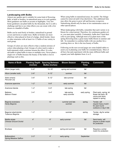#### **Landscaping with Bulbs**

Almost any garden spot is suitable for some kind of flowering bulb, in beds or borders, in naturalized areas or in rock gardens. Most gardeners use bulbs as accents or highlights. Very few home gardeners can plant bulbs by the thousands, but it is still a challenge and fun to see what effects you can create with a few dozen or a handful of bulbs.

Bulbs can be used freely in borders, naturalized in ground covers and lawns or under trees. Bulbs in borders are most effective when placed in front of a hedge, shrub border, fence or other structures with at least 6 to 12 bulbs of one variety in each group.

Groups of colors are more effective than a random mixture of colors when planting a bed. Groups of colors tend to make a bold statement while a mixture lessens the effect. It is also advisable to plant bulbs in mass or multiple rows. Never plant a single row of bulbs because the beauty of the bulbs is lost in plantings such as this.

When using bulbs in naturalized areas, be careful. The foliage cannot be removed until it has died down. This additional time may allow the grass to grow tall and become overgrown. Naturalizing should only be done in low maintenance areas or other special places.

When landscaping with bulbs, remember that each variety is in bloom for a short period. Therefore, for continuous garden color, you must plan carefully. Fortunately, bulbs don't limit their color to just spring. Although most of us plant more of the spring flowering kind, a great many bulbs bloom in summer and fall. So remember to combine bulbs with one another for a yearlong show as this is the true beauty of bulbs.

Following on the next several pages are some helpful tables to assist you in planning your bulbs for extended beauty. Most of all have fun and experiment with the many different bulbs and expand your bulb alphabet from A to Z.

| <b>Name of Bulb</b>                                     | (inches)        | <b>Planting Depth Spacing Between</b><br><b>Bulbs (inches)</b> | <b>Bloom Season</b>         | <b>Planting</b><br><b>Time</b> | <b>Comments</b>                                                                            |
|---------------------------------------------------------|-----------------|----------------------------------------------------------------|-----------------------------|--------------------------------|--------------------------------------------------------------------------------------------|
| Allium (larger bulb)                                    | $6 - 8$ "       | $12 - 18$ "                                                    | spring and summer           | fall                           |                                                                                            |
| Allium (smaller bulb)                                   | $2 - 6$ "       | $4 - 12$ "                                                     | summer                      | fall                           |                                                                                            |
| Alstro emeria<br>Peruvian Lily                          | $3 - 6$ "       | $6 - 12$ "                                                     | late summer                 | fall                           |                                                                                            |
| Anemone apennine                                        | $1 - 2^{\circ}$ | $6 - 8$ "                                                      | early summer                | fall                           |                                                                                            |
| Anemone blanda                                          | $1 - 2^u$       | $6 - 8$ "                                                      | late spring                 | fall                           |                                                                                            |
| <b>Babiana</b><br><b>Baboon Flower</b>                  | $3 - 4$ "       | $3 - 4$ "                                                      | late spring<br>early summer | early spring                   | Plant early, spring, let<br>flower die back, lift<br>corms and store,<br>replant in spring |
| Begonia evansiana<br>Hardy Begonia                      | $2^{\mu}$       | $12^{n}$                                                       | summer and late<br>summer   | spring                         | Tender, will<br>require heavy mulch<br>for year-round<br>outdoors or dig in fall.          |
| Begonia tuberhybrida<br>Tuberous Begonia                | $1 - 2^{\circ}$ | 12"                                                            | summer                      | spring                         | Tender, dig for winter<br>storage.                                                         |
| <b>Bletilla striata</b><br><b>Chinese Ground Orchid</b> | 4"              | 6"                                                             | early summer                | fall                           | Semi-hardy, will<br>require a winter mulch<br>for protection                               |
| <b>Brodiaea</b>                                         | 3"              | $3 - 5"$                                                       | spring and summer           | fall                           | Requires a winter<br>mulch for protection                                                  |
| <b>Bulbocodium</b><br><b>Spring Meadow Saffron</b>      | $2 - 3$ "       | 4"                                                             | early spring                | September                      |                                                                                            |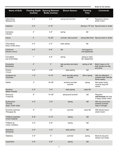**Bulbs for the Garden** 

| <b>Name of Bulb</b>                                    | (inches)  | <b>Planting Depth Spacing Between</b><br><b>Bulbs (inches)</b> | <b>Bloom Season</b>               | <b>Planting</b><br><b>Time</b>     | <b>Comments</b>                                                 |
|--------------------------------------------------------|-----------|----------------------------------------------------------------|-----------------------------------|------------------------------------|-----------------------------------------------------------------|
| Calochortus<br>Mariposa lily                           | $2 - 3"$  | $4 - 6"$                                                       | spring and summer                 | fall                               | Requires a heavy<br>winter mulch                                |
| Caladium                                               | $3 - 5"$  | $5 - 10"$                                                      |                                   |                                    | Spring in $70^{\circ}$ soil Dig and store in winter             |
| Camassia<br>Camass                                     | 4"        | $4 - 6"$                                                       | spring                            | fall                               |                                                                 |
| Canna                                                  | 5'        | $15 - 25"$                                                     | summer, late summer               |                                    | spring after frost Dig and store in winter                      |
| Chionodoxa<br>Glory-of-the-Snow                        | $3 - 4"$  | $2 - 3"$                                                       | early spring                      | fall                               |                                                                 |
| Colchicum<br>Autumn crocus                             | $3 - 4$ " | $6 - 8$ "                                                      | fall                              | mid August to<br>mid September     |                                                                 |
| Convallaria<br>Lily-of-theValley                       | 1"        | $4 - 6"$                                                       | spring                            | spring or early<br>fall, September |                                                                 |
| Crocosmia<br>Montbretia                                | 2"        | 3"                                                             | late summer and early<br>fall     | spring or fall                     | Mulch heavy or for<br>best results is to dig<br>and store       |
| Crocus<br>Crocus                                       | $2 - 4'$  | $2 - 6"$                                                       | early spring                      | fall                               |                                                                 |
| Cyclamen sp<br>Cyclamen                                | $1 - 2$ " | $6 - 10"$                                                      | early and late spring<br>and fall | fall or spring                     | Will not withstand<br>extreme heat. Not the<br>florist variety. |
| Dahlia                                                 | 3"        | $16 - 50"$                                                     | summer and late<br>summer         | spring                             | Not winter hardy,<br>must be dug and<br>stored.                 |
| Eranthus<br><b>Winter Aconite</b>                      | $2 - 3"$  | $3 - 4$ "                                                      | early spring                      | early fall                         |                                                                 |
| Eremurus<br>Foxtail lily                               | $6"$      | $10 - 36"$                                                     | spring and summer                 | fall                               | Requires<br>well-drained soil and<br>a heavy winter mulch       |
| Erythronium<br><b>Trout lily</b><br>Dog's Tooth Violet | $2 - 5'$  | $3 - 6"$                                                       | spring                            | fall                               | Will not survive the<br>extreme summer<br>heat or drought       |
| Eucomis cosmosa<br>Pineapple lily                      | 6"        | 12"                                                            | summer                            | early fall                         | Will require heavy<br>winter mulch                              |
| Fritillaria imperialis<br>Crown Imperial               | $6 - 8$ " | $8 - 12"$                                                      | spring                            | fall                               |                                                                 |
| Fritillaria sp<br>(many varieties)                     | $3 - 4"$  | $6 - 8$ "                                                      | spring                            | fall                               |                                                                 |
| Galanthus<br>Snowdrop                                  | $3 - 4$ " | $2 - 3"$                                                       | early spring                      | fall                               |                                                                 |
| Gladiolus                                              | $3 - 5"$  | $6"$                                                           | summer                            | spring                             | Must be dug and<br>stored over winter.                          |
| Hyacinthus                                             | $4 - 6"$  | $6 - 8"$                                                       | spring                            | fall                               |                                                                 |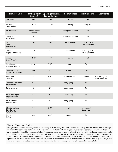| <b>Name of Bulb</b>                                     | (inches)                   | <b>Planting Depth Spacing Between</b><br><b>Bulbs (inches)</b> | <b>Bloom Season</b> | <b>Planting Time</b>            | <b>Comments</b>                      |
|---------------------------------------------------------|----------------------------|----------------------------------------------------------------|---------------------|---------------------------------|--------------------------------------|
| Hyacinthus                                              | $4 - 6"$                   | $6 - 8$ "                                                      | spring              | fall                            |                                      |
| Iris (bulbs)<br>Reticulata Iris                         | $3 - 4"$                   | $4 - 6"$                                                       | spring              | early fall                      |                                      |
| Iris (rhizones)                                         | Just below the<br>surface. | $4"$                                                           | spring and summer   | fall                            |                                      |
| Leucojum<br>Snow Flake                                  | 4"                         | 4"                                                             | spring and summer   | fall                            |                                      |
| Lilium<br>Lilies<br>Madonna lily                        | $1 - 2$ "                  | $10 - 12"$                                                     | early summer        | mid- August to<br>mid-September |                                      |
| Lycoris<br>Magic, Surprise Lily                         | $3 - 4$ "                  | $5 - 8$ "                                                      | late summer         | mid- August to<br>mid-September |                                      |
| Muscari<br>Grape Hyacinth                               | $2 - 3"$                   | 3"                                                             | spring              | fall                            |                                      |
| <b>Narcissus</b><br>Daffodil, Jonquil                   | $6 - 8$ "                  | $6 - 8$ "                                                      | spring              | fall                            |                                      |
| Omithogalum<br>Star-of-Bethlehem                        | $3 - 5"$                   | 4"                                                             | spring              | fall                            |                                      |
| Polianthes<br>Tuberose                                  | 2"                         | $4 - 6"$                                                       | summer and fall     | spring                          | Must be dug and<br>stored for winter |
| Puschkinia scilloides<br><b>Striped Squill</b>          | $2 - 3"$                   | $2 - 3'$                                                       | early spring        | fall                            |                                      |
| Scilla hispanica                                        | 3'                         | $6"$                                                           | early spring        | fall                            |                                      |
| Scilla nonscripta<br><b>English Bluebell</b>            | $2 - 3"$                   | 6"                                                             | late spring         | fall                            |                                      |
| Scilla Siberica<br>Siberian Squill                      | $2 - 3"$                   | 6"                                                             | early spring        | fall                            |                                      |
| Stembergia lutea<br>Stembergia<br><b>Fall Daffodill</b> | $3 - 5"$                   | $2 - 3'$                                                       | fall                | mid- August<br>September        |                                      |
| Tulipa<br><b>Tulips</b>                                 | $6 - 8$ "                  | $4 - 8$ "                                                      | spring              | fall                            |                                      |

## **Bloom Time for Bulbs**

Most gardeners think of flowering bulbs only blooming in early spring. They don't realize that these plants can furnish flowers throughout much of the year. Most bulbs have such predictable habits that their flowering season, and their order of bloom within that season, can be charted on timetables like the one below. When each season begins and how long it lasts vary with the climate zone, but the bulbs order of blossoming remains the same. A single bulb may bloom only a week or two, but many genera include species and varieties that blossom at slightly different times; by planning a combination you can double or triple the period bloom for each kind. You can also capitalize on the fact that some bulbs, such a squills, bloom earlier in full sun that in partial shade, and others, such as gladioluses, can be planted in batches to sprout serially over a period of months. So, start planning for your full season of flowering bulbs.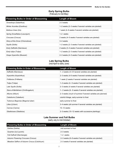## **Early Spring Bulbs**

(February to mid-May)

| <b>Flowering Bulbs in Order of Blossoming</b> | <b>Length of Bloom</b>                                 |
|-----------------------------------------------|--------------------------------------------------------|
| Snowdrops (Galanthus)                         | 2-3 weeks                                              |
| <i>Winter Aconites (Eranthus)</i>             | 1–2 weeks (2–3 weeks if several varieties are planted) |
| Bulbous Irises (Iris)                         | 1 week (4–6 weeks if several varieties are planted)    |
| Spring Snowflakes (Leucojum)                  | $1-2$ weeks                                            |
| Crocuses (Crocus)                             | 2 weeks (4–5 weeks if several varieties are planted)   |
| Glory-of-the-Snow (Chionodoxa)                | 3–4 weeks                                              |
| Squills (Scilla)                              | 1–2 weeks (2–3 weeks if several varieties are planted) |
| <i>Early Daffodils (Narcissus)</i>            | 2 weeks (3–4 weeks if several varieties are planted)   |
| <i>Early tulips</i> (Tulips)                  | 1–2 weeks (2–3 weeks if several varieties are planted) |
| Grape Hyacinths (Muscari)                     | 2–3 weeks (4–5 weeks if several varieties are planted) |

#### **Late Spring Bulbs**  (mid-April to early June)

| <b>Flowering Bulbs in Order of Blossoming</b> | <b>Length of Bloom</b>                                      |
|-----------------------------------------------|-------------------------------------------------------------|
| Daffodils (Narcissus)                         | 1–2 weeks (4–5 if several varieties are planted)            |
| <i>Hyacinths</i> (Hyacinthus)                 | 2–3 weeks (4-5 weeks if several varieties are planted)      |
| <i>Fritillarias</i> (Fritillaria)             | 1 week (2 weeks if several varieties are planted)           |
| Tulips (Tulipa)                               | 1–2 weeks (4– 6 weeks if several varieties are planted)     |
| Late Squills (Scilla)                         | 2–3 weeks (4 weeks if several varieties are planted)        |
| Stars-of-Behtlehem (Ornithogalum)             | 1–2 weeks (6–8 weeks if several varieties are planted)      |
| Alliums (Allium)                              | 2–3 weeks (much of summer if several varieties are planned) |
| Caladiums (Caladium)                          | colorful foliage, early summer to frost                     |
| Tuberous Begonias (Begonia tuber)             | early summer to frost                                       |
| Lilies ((Lilium)                              | 3–4 weeks (all summer if several varieties are planted)     |
| Cannas (Canna)                                | $10-12$ weeks                                               |
| Gladioluses (Gladiolus)                       | 2–3 weeks (10–12 weeks with successive plantings)           |

## **Late Summer and Fall Bulbs**

(early July to mid-October)

| <b>Flowering Bulbs in Order of Blossoming</b> | <b>Length of Bloom</b>                                 |
|-----------------------------------------------|--------------------------------------------------------|
| Dahlias (Dahlia)                              | mid summer to frost                                    |
| Surprise Lily (Lycoris)                       | 2–3 weeks                                              |
| Fall Daffodil (Sternbergia)                   | $1-2$ weeks                                            |
| Autumn Flowering Crocuses (Crocus)            | 2–3 weeks (6–8 weeks if several varieties are planted) |
| Meadow Saffron of Autumn Crocus (Colchicum)   | 2–3 weeks if several varieties are planted)            |